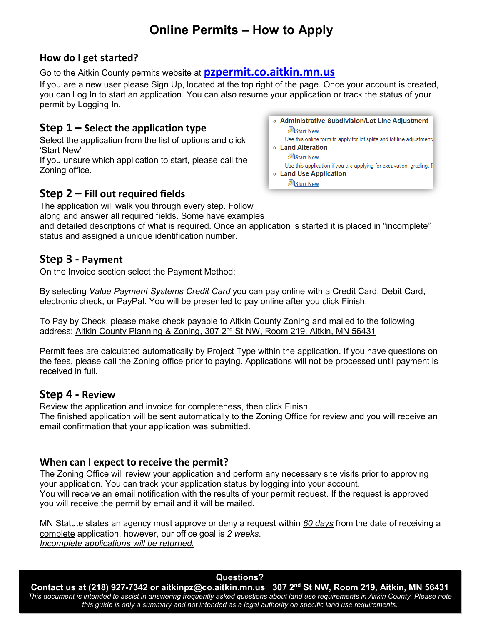# **Online Permits – How to Apply**

## **How do I get started?**

Go to the Aitkin County permits website at **[pzpermit.co.aitkin.mn.us](https://pzpermit.co.aitkin.mn.us/index.php)**

If you are a new user please Sign Up, located at the top right of the page. Once your account is created, you can Log In to start an application. You can also resume your application or track the status of your permit by Logging In.

# **Step 1 – Select the application type**

Select the application from the list of options and click 'Start New'

If you unsure which application to start, please call the Zoning office.

# **Step 2 – Fill out required fields**

The application will walk you through every step. Follow

along and answer all required fields. Some have examples

and detailed descriptions of what is required. Once an application is started it is placed in "incomplete" status and assigned a unique identification number.

## **Step 3 - Payment**

On the Invoice section select the Payment Method:

By selecting *Value Payment Systems Credit Card* you can pay online with a Credit Card, Debit Card, electronic check, or PayPal. You will be presented to pay online after you click Finish.

To Pay by Check, please make check payable to Aitkin County Zoning and mailed to the following address: Aitkin County Planning & Zoning, 307  $2<sup>nd</sup>$  St NW, Room 219, Aitkin, MN 56431

Permit fees are calculated automatically by Project Type within the application. If you have questions on the fees, please call the Zoning office prior to paying. Applications will not be processed until payment is received in full.

### **Step 4 - Review**

Review the application and invoice for completeness, then click Finish.

The finished application will be sent automatically to the Zoning Office for review and you will receive an email confirmation that your application was submitted.

### **When can I expect to receive the permit?**

The Zoning Office will review your application and perform any necessary site visits prior to approving your application. You can track your application status by logging into your account. You will receive an email notification with the results of your permit request. If the request is approved you will receive the permit by email and it will be mailed.

MN Statute states an agency must approve or deny a request within *60 days* from the date of receiving a complete application, however, our office goal is *2 weeks*. *Incomplete applications will be returned.*

#### **Questions?**

**Contact us at (218) 927-7342 or [aitkinpz@co.aitkin.mn.us](mailto:aitkinpz@co.aitkin.mn.us) 307 2nd St NW, Room 219, Aitkin, MN 56431** *This document is intended to assist in answering frequently asked questions about land use requirements in Aitkin County. Please note this guide is only a summary and not intended as a legal authority on specific land use requirements.*